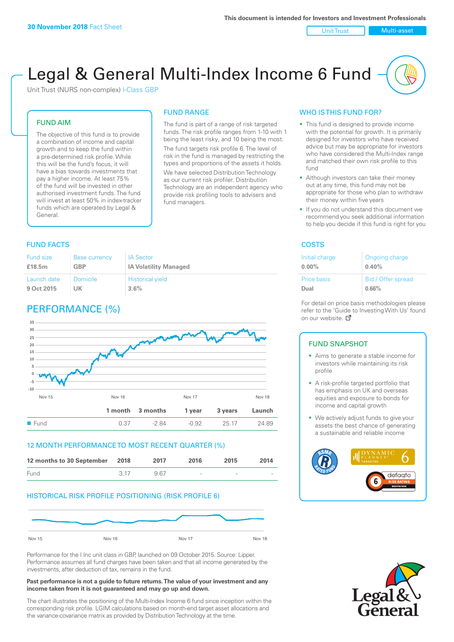#### Unit Trust Nulti-asset

# Legal & General Multi-Index Income 6 Fund

Unit Trust (NURS non-complex) I-Class GBP

## FUND AIM

The objective of this fund is to provide a combination of income and capital growth and to keep the fund within a pre-determined risk profile. While this will be the fund's focus, it will have a bias towards investments that pay a higher income. At least 75% of the fund will be invested in other authorised investment funds. The fund will invest at least 50% in index-tracker funds which are operated by Legal & General.

## FUND RANGE

The fund is part of a range of risk targeted funds. The risk profile ranges from 1-10 with 1 being the least risky, and 10 being the most. The fund targets risk profile 6. The level of risk in the fund is managed by restricting the

types and proportions of the assets it holds. We have selected Distribution Technology as our current risk profiler. Distribution Technology are an independent agency who provide risk profiling tools to advisers and fund managers.

## **FUND FACTS** COSTS

| <b>Fund size</b> | <b>Base currency</b> | <b>IA Sector</b>             |
|------------------|----------------------|------------------------------|
| £18.5m           | GBP                  | <b>IA Volatility Managed</b> |
| Launch date      | Domicile             | <b>Historical yield</b>      |
| 9 Oct 2015       | UK                   | $3.6\%$                      |

## PERFORMANCE (%)



## 12 MONTH PERFORMANCE TO MOST RECENT QUARTER (%)



## HISTORICAL RISK PROFILE POSITIONING (RISK PROFILE 6)



Performance for the I Inc unit class in GBP, launched on 09 October 2015. Source: Lipper. Performance assumes all fund charges have been taken and that all income generated by the investments, after deduction of tax, remains in the fund.

#### **Past performance is not a guide to future returns. The value of your investment and any income taken from it is not guaranteed and may go up and down.**

The chart illustrates the positioning of the Multi-Index Income 6 fund since inception within the corresponding risk profile. LGIM calculations based on month-end target asset allocations and the variance-covariance matrix as provided by Distribution Technology at the time.

## WHO IS THIS FUND FOR?

- This fund is designed to provide income with the potential for growth. It is primarily designed for investors who have received advice but may be appropriate for investors who have considered the Multi-Index range and matched their own risk profile to this fund
- Although investors can take their money out at any time, this fund may not be appropriate for those who plan to withdraw their money within five years
- If you do not understand this document we recommend you seek additional information to help you decide if this fund is right for you

| Initial charge     | Ongoing charge     |
|--------------------|--------------------|
| $0.00\%$           | 0.40%              |
| <b>Price basis</b> | Bid / Offer spread |
| Dual               | 0.66%              |

For detail on price basis methodologies please refer to the 'Guide to Investing With Us' found on our website. Ø

#### FUND SNAPSHOT

- Aims to generate a stable income for investors while maintaining its risk profile
- A risk-profile targeted portfolio that has emphasis on UK and overseas equities and exposure to bonds for income and capital growth
- We actively adjust funds to give your assets the best chance of generating a sustainable and reliable income



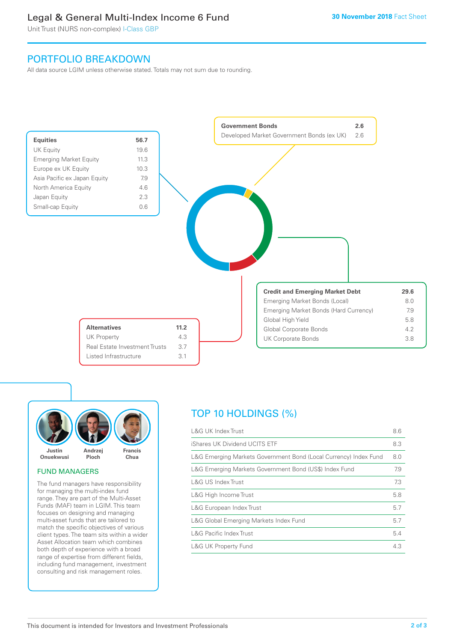## Legal & General Multi-Index Income 6 Fund

Unit Trust (NURS non-complex) I-Class GBP

## PORTFOLIO BREAKDOWN

All data source LGIM unless otherwise stated. Totals may not sum due to rounding.





## FUND MANAGERS

The fund managers have responsibility for managing the multi-index fund range. They are part of the Multi-Asset Funds (MAF) team in LGIM. This team focuses on designing and managing multi-asset funds that are tailored to match the specific objectives of various client types. The team sits within a wider Asset Allocation team which combines both depth of experience with a broad range of expertise from different fields, including fund management, investment consulting and risk management roles.

## TOP 10 HOLDINGS (%)

| <b>L&amp;G UK Index Trust</b>                                    | 8.6 |
|------------------------------------------------------------------|-----|
| iShares UK Dividend UCITS ETF                                    | 8.3 |
| L&G Emerging Markets Government Bond (Local Currency) Index Fund | 8.0 |
| L&G Emerging Markets Government Bond (US\$) Index Fund           | 7.9 |
| L&G US Index Trust                                               | 7.3 |
| L&G High Income Trust                                            | 5.8 |
| L&G European Index Trust                                         | 5.7 |
| L&G Global Emerging Markets Index Fund                           | 5.7 |
| <b>L&amp;G Pacific Index Trust</b>                               | 5.4 |
| <b>L&amp;G UK Property Fund</b>                                  | 4.3 |